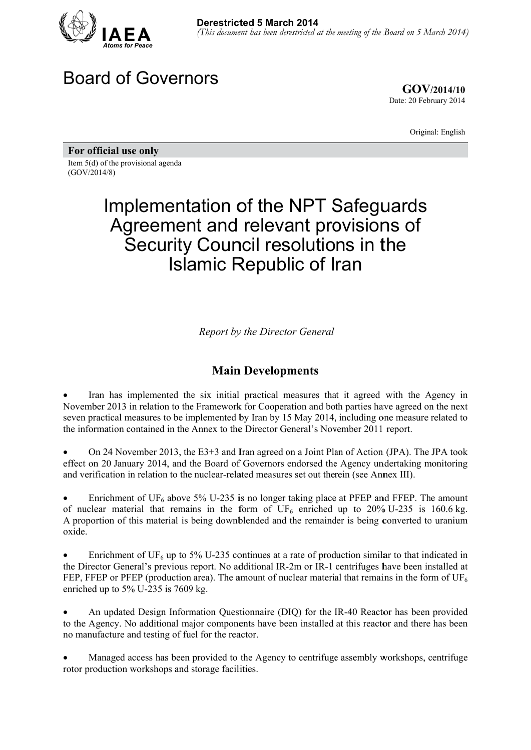

# Board of Governors

**GOV/ /2014/10** Date: 20 February 2014

Original: English

For official use only

Item 5(d) of the provisional agenda (GOV/2014/8)

# Implementation of the NPT Safeguards Agreement and relevant provisions of Security Council resolutions in the Islamic Republic of Iran

**Report by the Director General** 

### **Main Developments**

• Iran has implemented the six initial practical measures that it agreed with the Agency in November 2013 in relation to the Framework for Cooperation and both parties have agreed on the next seven practical measures to be implemented by Iran by 15 May 2014, including one measure related to the information contained in the Annex to the Director General's November 2011 report.

• On 24 November 2013, the E3+3 and Iran agreed on a Joint Plan of Action (JPA). The JPA took effect on 20 January 2014, and the Board of Governors endorsed the Agency undertaking monitoring and verification in relation to the nuclear-related measures set out therein (see Annex III).

• Enrichment of UF<sub>6</sub> above 5% U-235 is no longer taking place at PFEP and FFEP. The amount of nuclear material that remains in the form of  $UF_6$  enriched up to 20% U-235 is 160.6 kg. A proportion of this material is being downblended and the remainder is being converted to uranium oxide.

• Enrichment of UF<sub>6</sub> up to 5% U-235 continues at a rate of production similar to that indicated in the Director General's previous report. No additional IR-2m or IR-1 centrifuges have been installed at FEP, FFEP or PFEP (production area). The amount of nuclear material that remains in the form of  $UF_6$ enriched up to  $5\%$  U-235 is  $7609$  kg.

• An updated Design Information Questionnaire (DIQ) for the IR-40 Reactor has been provided to the Agency. No additional major components have been installed at this reactor and there has been no manufacture and testing of fuel for the reactor.

• Managed access has been provided to the Agency to centrifuge assembly workshops, centrifuge rotor production workshops and storage facilities.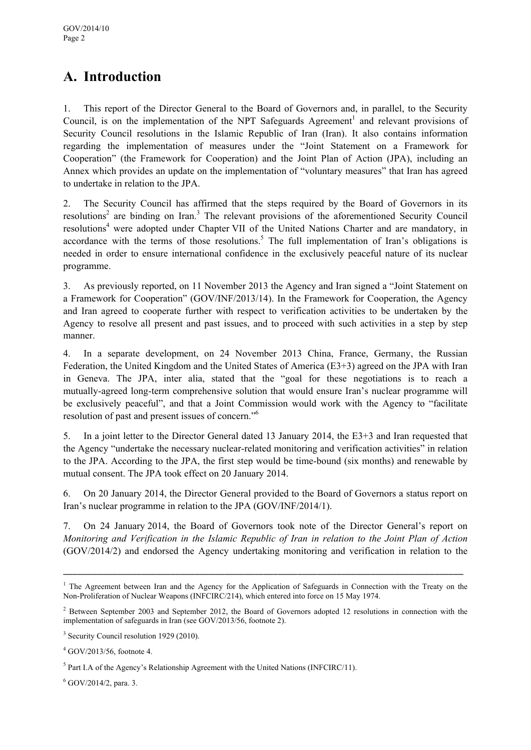## **A. Introduction**

1. This report of the Director General to the Board of Governors and, in parallel, to the Security Council, is on the implementation of the NPT Safeguards Agreement<sup>1</sup> and relevant provisions of Security Council resolutions in the Islamic Republic of Iran (Iran). It also contains information regarding the implementation of measures under the "Joint Statement on a Framework for Cooperation" (the Framework for Cooperation) and the Joint Plan of Action (JPA), including an Annex which provides an update on the implementation of "voluntary measures" that Iran has agreed to undertake in relation to the JPA.

2. The Security Council has affirmed that the steps required by the Board of Governors in its resolutions<sup>2</sup> are binding on Iran.<sup>3</sup> The relevant provisions of the aforementioned Security Council resolutions<sup>4</sup> were adopted under Chapter VII of the United Nations Charter and are mandatory, in accordance with the terms of those resolutions.<sup>5</sup> The full implementation of Iran's obligations is needed in order to ensure international confidence in the exclusively peaceful nature of its nuclear programme.

3. As previously reported, on 11 November 2013 the Agency and Iran signed a "Joint Statement on a Framework for Cooperation" (GOV/INF/2013/14). In the Framework for Cooperation, the Agency and Iran agreed to cooperate further with respect to verification activities to be undertaken by the Agency to resolve all present and past issues, and to proceed with such activities in a step by step manner.

4. In a separate development, on 24 November 2013 China, France, Germany, the Russian Federation, the United Kingdom and the United States of America (E3+3) agreed on the JPA with Iran in Geneva. The JPA, inter alia, stated that the "goal for these negotiations is to reach a mutually-agreed long-term comprehensive solution that would ensure Iran's nuclear programme will be exclusively peaceful", and that a Joint Commission would work with the Agency to "facilitate resolution of past and present issues of concern."6

5. In a joint letter to the Director General dated 13 January 2014, the E3+3 and Iran requested that the Agency "undertake the necessary nuclear-related monitoring and verification activities" in relation to the JPA. According to the JPA, the first step would be time-bound (six months) and renewable by mutual consent. The JPA took effect on 20 January 2014.

6. On 20 January 2014, the Director General provided to the Board of Governors a status report on Iran's nuclear programme in relation to the JPA (GOV/INF/2014/1).

7. On 24 January 2014, the Board of Governors took note of the Director General's report on *Monitoring and Verification in the Islamic Republic of Iran in relation to the Joint Plan of Action* (GOV/2014/2) and endorsed the Agency undertaking monitoring and verification in relation to the

<sup>&</sup>lt;sup>1</sup> The Agreement between Iran and the Agency for the Application of Safeguards in Connection with the Treaty on the Non-Proliferation of Nuclear Weapons (INFCIRC/214), which entered into force on 15 May 1974.

<sup>&</sup>lt;sup>2</sup> Between September 2003 and September 2012, the Board of Governors adopted 12 resolutions in connection with the implementation of safeguards in Iran (see GOV/2013/56, footnote 2).

<sup>&</sup>lt;sup>3</sup> Security Council resolution 1929 (2010).

<sup>4</sup> GOV/2013/56, footnote 4.

 $<sup>5</sup>$  Part I.A of the Agency's Relationship Agreement with the United Nations (INFCIRC/11).</sup>

 $6$  GOV/2014/2, para. 3.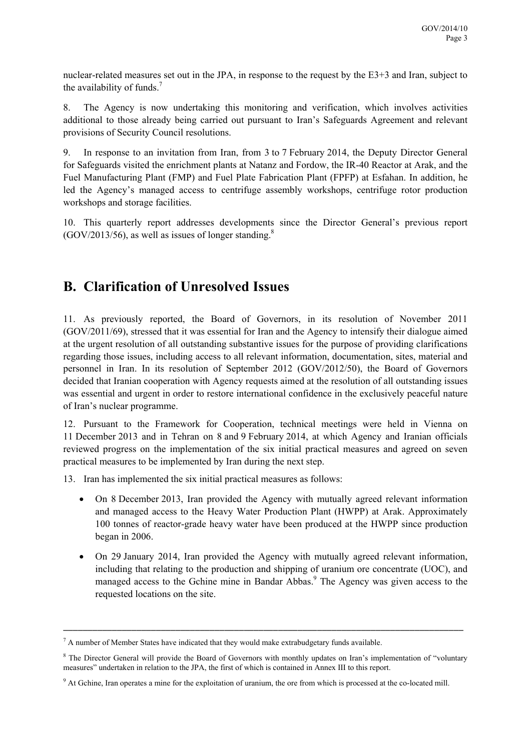nuclear-related measures set out in the JPA, in response to the request by the E3+3 and Iran, subject to the availability of funds.7

8. The Agency is now undertaking this monitoring and verification, which involves activities additional to those already being carried out pursuant to Iran's Safeguards Agreement and relevant provisions of Security Council resolutions.

9. In response to an invitation from Iran, from 3 to 7 February 2014, the Deputy Director General for Safeguards visited the enrichment plants at Natanz and Fordow, the IR-40 Reactor at Arak, and the Fuel Manufacturing Plant (FMP) and Fuel Plate Fabrication Plant (FPFP) at Esfahan. In addition, he led the Agency's managed access to centrifuge assembly workshops, centrifuge rotor production workshops and storage facilities.

10. This quarterly report addresses developments since the Director General's previous report  $(GOV/2013/56)$ , as well as issues of longer standing.<sup>8</sup>

### **B. Clarification of Unresolved Issues**

11. As previously reported, the Board of Governors, in its resolution of November 2011 (GOV/2011/69), stressed that it was essential for Iran and the Agency to intensify their dialogue aimed at the urgent resolution of all outstanding substantive issues for the purpose of providing clarifications regarding those issues, including access to all relevant information, documentation, sites, material and personnel in Iran. In its resolution of September 2012 (GOV/2012/50), the Board of Governors decided that Iranian cooperation with Agency requests aimed at the resolution of all outstanding issues was essential and urgent in order to restore international confidence in the exclusively peaceful nature of Iran's nuclear programme.

12. Pursuant to the Framework for Cooperation, technical meetings were held in Vienna on 11 December 2013 and in Tehran on 8 and 9 February 2014, at which Agency and Iranian officials reviewed progress on the implementation of the six initial practical measures and agreed on seven practical measures to be implemented by Iran during the next step.

13. Iran has implemented the six initial practical measures as follows:

- On 8 December 2013, Iran provided the Agency with mutually agreed relevant information and managed access to the Heavy Water Production Plant (HWPP) at Arak. Approximately 100 tonnes of reactor-grade heavy water have been produced at the HWPP since production began in 2006.
- On 29 January 2014, Iran provided the Agency with mutually agreed relevant information, including that relating to the production and shipping of uranium ore concentrate (UOC), and managed access to the Gchine mine in Bandar Abbas.<sup>9</sup> The Agency was given access to the requested locations on the site.

 $<sup>7</sup>$  A number of Member States have indicated that they would make extrabudgetary funds available.</sup>

<sup>&</sup>lt;sup>8</sup> The Director General will provide the Board of Governors with monthly updates on Iran's implementation of "voluntary measures" undertaken in relation to the JPA, the first of which is contained in Annex III to this report.

<sup>&</sup>lt;sup>9</sup> At Gchine, Iran operates a mine for the exploitation of uranium, the ore from which is processed at the co-located mill.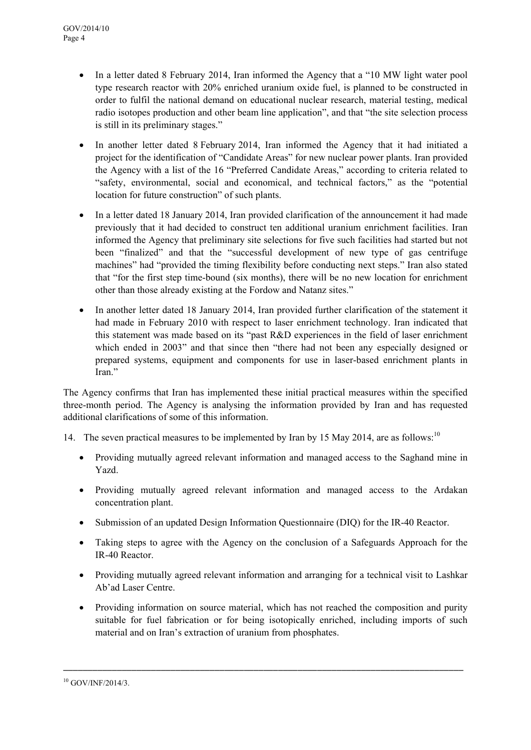- In a letter dated 8 February 2014, Iran informed the Agency that a "10 MW light water pool type research reactor with 20% enriched uranium oxide fuel, is planned to be constructed in order to fulfil the national demand on educational nuclear research, material testing, medical radio isotopes production and other beam line application", and that "the site selection process is still in its preliminary stages."
- In another letter dated 8 February 2014, Iran informed the Agency that it had initiated a project for the identification of "Candidate Areas" for new nuclear power plants. Iran provided the Agency with a list of the 16 "Preferred Candidate Areas," according to criteria related to "safety, environmental, social and economical, and technical factors," as the "potential location for future construction" of such plants.
- In a letter dated 18 January 2014, Iran provided clarification of the announcement it had made previously that it had decided to construct ten additional uranium enrichment facilities. Iran informed the Agency that preliminary site selections for five such facilities had started but not been "finalized" and that the "successful development of new type of gas centrifuge machines" had "provided the timing flexibility before conducting next steps." Iran also stated that "for the first step time-bound (six months), there will be no new location for enrichment other than those already existing at the Fordow and Natanz sites."
- In another letter dated 18 January 2014, Iran provided further clarification of the statement it had made in February 2010 with respect to laser enrichment technology. Iran indicated that this statement was made based on its "past R&D experiences in the field of laser enrichment which ended in 2003" and that since then "there had not been any especially designed or prepared systems, equipment and components for use in laser-based enrichment plants in Iran."

The Agency confirms that Iran has implemented these initial practical measures within the specified three-month period. The Agency is analysing the information provided by Iran and has requested additional clarifications of some of this information.

- 14. The seven practical measures to be implemented by Iran by 15 May 2014, are as follows:<sup>10</sup>
	- Providing mutually agreed relevant information and managed access to the Saghand mine in Yazd.
	- Providing mutually agreed relevant information and managed access to the Ardakan concentration plant.
	- Submission of an updated Design Information Questionnaire (DIQ) for the IR-40 Reactor.
	- Taking steps to agree with the Agency on the conclusion of a Safeguards Approach for the IR-40 Reactor.
	- Providing mutually agreed relevant information and arranging for a technical visit to Lashkar Ab'ad Laser Centre.
	- Providing information on source material, which has not reached the composition and purity suitable for fuel fabrication or for being isotopically enriched, including imports of such material and on Iran's extraction of uranium from phosphates.

<sup>10</sup> GOV/INF/2014/3.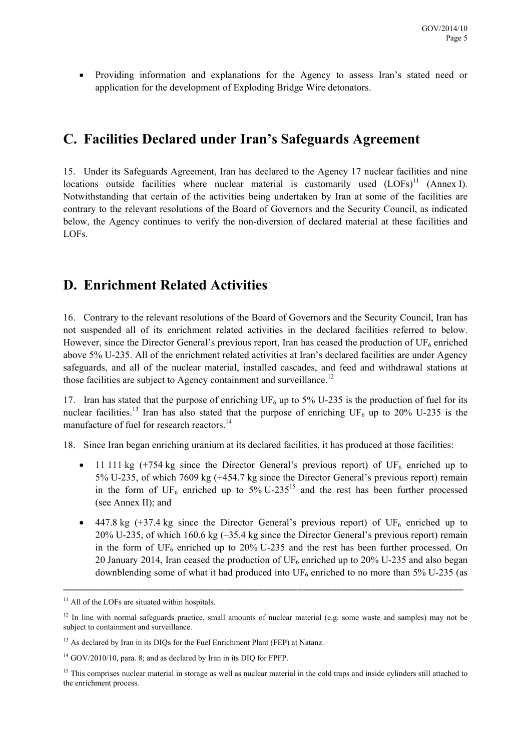Providing information and explanations for the Agency to assess Iran's stated need or application for the development of Exploding Bridge Wire detonators.

### **C. Facilities Declared under Iran's Safeguards Agreement**

15. Under its Safeguards Agreement, Iran has declared to the Agency 17 nuclear facilities and nine locations outside facilities where nuclear material is customarily used  $(LOFs)^{11}$  (Annex I). Notwithstanding that certain of the activities being undertaken by Iran at some of the facilities are contrary to the relevant resolutions of the Board of Governors and the Security Council, as indicated below, the Agency continues to verify the non-diversion of declared material at these facilities and LOFs.

### **D. Enrichment Related Activities**

16. Contrary to the relevant resolutions of the Board of Governors and the Security Council, Iran has not suspended all of its enrichment related activities in the declared facilities referred to below. However, since the Director General's previous report, Iran has ceased the production of  $UF<sub>6</sub>$  enriched above 5% U-235. All of the enrichment related activities at Iran's declared facilities are under Agency safeguards, and all of the nuclear material, installed cascades, and feed and withdrawal stations at those facilities are subject to Agency containment and surveillance.<sup>12</sup>

17. Iran has stated that the purpose of enriching  $UF_6$  up to 5% U-235 is the production of fuel for its nuclear facilities.<sup>13</sup> Iran has also stated that the purpose of enriching UF<sub>6</sub> up to 20% U-235 is the manufacture of fuel for research reactors.<sup>14</sup>

18. Since Iran began enriching uranium at its declared facilities, it has produced at those facilities:

- 11 111 kg  $(+754 \text{ kg})$  since the Director General's previous report) of UF<sub>6</sub> enriched up to 5% U-235, of which 7609 kg (+454.7 kg since the Director General's previous report) remain in the form of  $UF_6$  enriched up to  $5\%$  U-235<sup>15</sup> and the rest has been further processed (see Annex II); and
- $\bullet$  447.8 kg (+37.4 kg since the Director General's previous report) of UF<sub>6</sub> enriched up to 20% U-235, of which 160.6 kg (–35.4 kg since the Director General's previous report) remain in the form of  $UF_6$  enriched up to 20% U-235 and the rest has been further processed. On 20 January 2014, Iran ceased the production of  $UF_6$  enriched up to 20% U-235 and also began downblending some of what it had produced into  $UF_6$  enriched to no more than 5% U-235 (as

 $11$  All of the LOFs are situated within hospitals.

 $12$  In line with normal safeguards practice, small amounts of nuclear material (e.g. some waste and samples) may not be subject to containment and surveillance.

<sup>&</sup>lt;sup>13</sup> As declared by Iran in its DIOs for the Fuel Enrichment Plant (FEP) at Natanz.

 $14$  GOV/2010/10, para. 8; and as declared by Iran in its DIQ for FPFP.

<sup>&</sup>lt;sup>15</sup> This comprises nuclear material in storage as well as nuclear material in the cold traps and inside cylinders still attached to the enrichment process.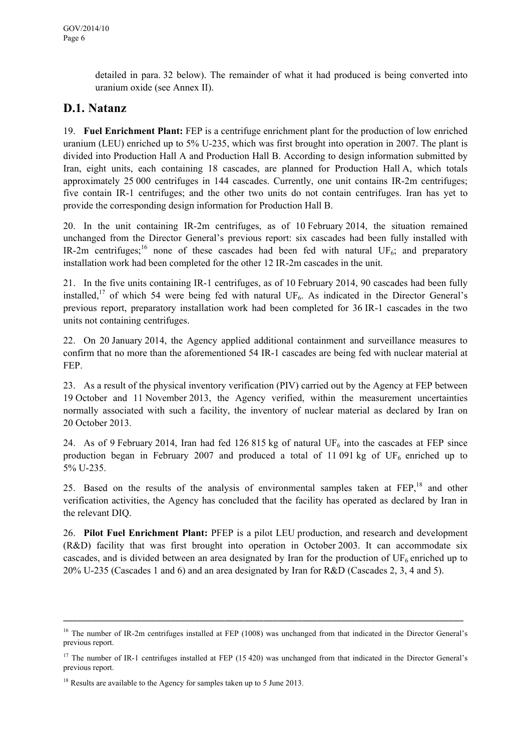detailed in para. 32 below). The remainder of what it had produced is being converted into uranium oxide (see Annex II).

### **D.1. Natanz**

19. **Fuel Enrichment Plant:** FEP is a centrifuge enrichment plant for the production of low enriched uranium (LEU) enriched up to 5% U-235, which was first brought into operation in 2007. The plant is divided into Production Hall A and Production Hall B. According to design information submitted by Iran, eight units, each containing 18 cascades, are planned for Production Hall A, which totals approximately 25 000 centrifuges in 144 cascades. Currently, one unit contains IR-2m centrifuges; five contain IR-1 centrifuges; and the other two units do not contain centrifuges. Iran has yet to provide the corresponding design information for Production Hall B.

20. In the unit containing IR-2m centrifuges, as of 10 February 2014, the situation remained unchanged from the Director General's previous report: six cascades had been fully installed with IR-2m centrifuges;<sup>16</sup> none of these cascades had been fed with natural UF<sub>6</sub>; and preparatory installation work had been completed for the other 12 IR-2m cascades in the unit.

21. In the five units containing IR-1 centrifuges, as of 10 February 2014, 90 cascades had been fully installed,<sup>17</sup> of which 54 were being fed with natural  $UF_6$ . As indicated in the Director General's previous report, preparatory installation work had been completed for 36 IR-1 cascades in the two units not containing centrifuges.

22. On 20 January 2014, the Agency applied additional containment and surveillance measures to confirm that no more than the aforementioned 54 IR-1 cascades are being fed with nuclear material at FEP.

23. As a result of the physical inventory verification (PIV) carried out by the Agency at FEP between 19 October and 11 November 2013, the Agency verified, within the measurement uncertainties normally associated with such a facility, the inventory of nuclear material as declared by Iran on 20 October 2013.

24. As of 9 February 2014, Iran had fed 126 815 kg of natural UF<sub>6</sub> into the cascades at FEP since production began in February 2007 and produced a total of 11 091 kg of  $UF_6$  enriched up to 5% U-235.

25. Based on the results of the analysis of environmental samples taken at FEP,<sup>18</sup> and other verification activities, the Agency has concluded that the facility has operated as declared by Iran in the relevant DIQ.

26. **Pilot Fuel Enrichment Plant:** PFEP is a pilot LEU production, and research and development (R&D) facility that was first brought into operation in October 2003. It can accommodate six cascades, and is divided between an area designated by Iran for the production of  $UF<sub>6</sub>$  enriched up to 20% U-235 (Cascades 1 and 6) and an area designated by Iran for R&D (Cascades 2, 3, 4 and 5).

 $16$  The number of IR-2m centrifuges installed at FEP (1008) was unchanged from that indicated in the Director General's previous report.

<sup>&</sup>lt;sup>17</sup> The number of IR-1 centrifuges installed at FEP  $(15 420)$  was unchanged from that indicated in the Director General's previous report.

<sup>&</sup>lt;sup>18</sup> Results are available to the Agency for samples taken up to 5 June 2013.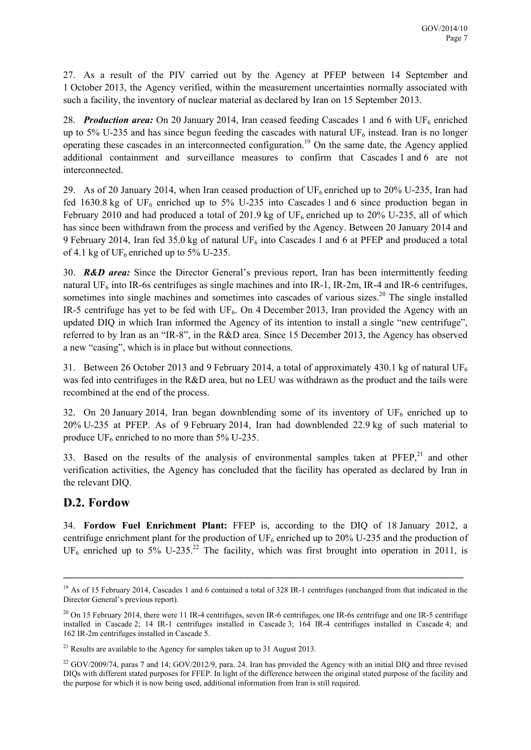27. As a result of the PIV carried out by the Agency at PFEP between 14 September and 1 October 2013, the Agency verified, within the measurement uncertainties normally associated with such a facility, the inventory of nuclear material as declared by Iran on 15 September 2013.

28. *Production area:* On 20 January 2014, Iran ceased feeding Cascades 1 and 6 with UF<sub>6</sub> enriched up to 5% U-235 and has since begun feeding the cascades with natural  $UF_6$  instead. Iran is no longer operating these cascades in an interconnected configuration.19 On the same date, the Agency applied additional containment and surveillance measures to confirm that Cascades 1 and 6 are not interconnected.

29. As of 20 January 2014, when Iran ceased production of  $UF_6$  enriched up to 20% U-235, Iran had fed 1630.8 kg of UF<sub>6</sub> enriched up to 5% U-235 into Cascades 1 and 6 since production began in February 2010 and had produced a total of 201.9 kg of  $UF_6$  enriched up to 20% U-235, all of which has since been withdrawn from the process and verified by the Agency. Between 20 January 2014 and 9 February 2014, Iran fed 35.0 kg of natural  $UF_6$  into Cascades 1 and 6 at PFEP and produced a total of 4.1 kg of UF<sub>6</sub> enriched up to 5% U-235.

30. *R&D area:* Since the Director General's previous report, Iran has been intermittently feeding natural UF<sub>6</sub> into IR-6s centrifuges as single machines and into IR-1, IR-2m, IR-4 and IR-6 centrifuges, sometimes into single machines and sometimes into cascades of various sizes.<sup>20</sup> The single installed IR-5 centrifuge has yet to be fed with  $UF_6$ . On 4 December 2013, Iran provided the Agency with an updated DIQ in which Iran informed the Agency of its intention to install a single "new centrifuge", referred to by Iran as an "IR-8", in the R&D area. Since 15 December 2013, the Agency has observed a new "casing", which is in place but without connections.

31. Between 26 October 2013 and 9 February 2014, a total of approximately 430.1 kg of natural UF<sub>6</sub> was fed into centrifuges in the R&D area, but no LEU was withdrawn as the product and the tails were recombined at the end of the process.

32. On 20 January 2014, Iran began downblending some of its inventory of  $UF_6$  enriched up to 20% U-235 at PFEP. As of 9 February 2014, Iran had downblended 22.9 kg of such material to produce  $UF_6$  enriched to no more than 5% U-235.

33. Based on the results of the analysis of environmental samples taken at  $P F E P$ ,<sup>21</sup> and other verification activities, the Agency has concluded that the facility has operated as declared by Iran in the relevant DIQ.

#### **D.2. Fordow**

34. **Fordow Fuel Enrichment Plant:** FFEP is, according to the DIQ of 18 January 2012, a centrifuge enrichment plant for the production of  $UF_6$  enriched up to 20% U-235 and the production of UF<sub>6</sub> enriched up to  $5\%$  U-235.<sup>22</sup> The facility, which was first brought into operation in 2011, is

<sup>&</sup>lt;sup>19</sup> As of 15 February 2014, Cascades 1 and 6 contained a total of 328 IR-1 centrifuges (unchanged from that indicated in the Director General's previous report).

<sup>&</sup>lt;sup>20</sup> On 15 February 2014, there were 11 IR-4 centrifuges, seven IR-6 centrifuges, one IR-6s centrifuge and one IR-5 centrifuge installed in Cascade 2; 14 IR-1 centrifuges installed in Cascade 3; 164 IR-4 centrifuges installed in Cascade 4; and 162 IR-2m centrifuges installed in Cascade 5.

<sup>&</sup>lt;sup>21</sup> Results are available to the Agency for samples taken up to 31 August 2013.

 $22$  GOV/2009/74, paras 7 and 14; GOV/2012/9, para. 24. Iran has provided the Agency with an initial DIQ and three revised DIQs with different stated purposes for FFEP. In light of the difference between the original stated purpose of the facility and the purpose for which it is now being used, additional information from Iran is still required.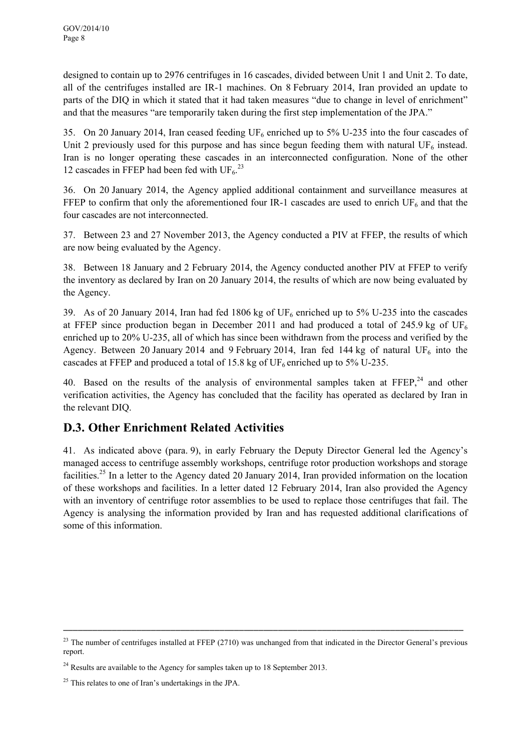designed to contain up to 2976 centrifuges in 16 cascades, divided between Unit 1 and Unit 2. To date, all of the centrifuges installed are IR-1 machines. On 8 February 2014, Iran provided an update to parts of the DIQ in which it stated that it had taken measures "due to change in level of enrichment" and that the measures "are temporarily taken during the first step implementation of the JPA."

35. On 20 January 2014, Iran ceased feeding  $UF_6$  enriched up to 5% U-235 into the four cascades of Unit 2 previously used for this purpose and has since begun feeding them with natural UF $_6$  instead. Iran is no longer operating these cascades in an interconnected configuration. None of the other 12 cascades in FFEP had been fed with  $UF_6$ <sup>23</sup>

36. On 20 January 2014, the Agency applied additional containment and surveillance measures at FFEP to confirm that only the aforementioned four IR-1 cascades are used to enrich  $UF_6$  and that the four cascades are not interconnected.

37. Between 23 and 27 November 2013, the Agency conducted a PIV at FFEP, the results of which are now being evaluated by the Agency.

38. Between 18 January and 2 February 2014, the Agency conducted another PIV at FFEP to verify the inventory as declared by Iran on 20 January 2014, the results of which are now being evaluated by the Agency.

39. As of 20 January 2014, Iran had fed 1806 kg of  $UF_6$  enriched up to 5% U-235 into the cascades at FFEP since production began in December 2011 and had produced a total of 245.9 kg of  $UF_6$ enriched up to 20% U-235, all of which has since been withdrawn from the process and verified by the Agency. Between 20 January 2014 and 9 February 2014, Iran fed 144 kg of natural UF<sub>6</sub> into the cascades at FFEP and produced a total of 15.8 kg of  $UF_6$  enriched up to 5% U-235.

40. Based on the results of the analysis of environmental samples taken at  $F F E P$ ,<sup>24</sup> and other verification activities, the Agency has concluded that the facility has operated as declared by Iran in the relevant DIQ.

### **D.3. Other Enrichment Related Activities**

41. As indicated above (para. 9), in early February the Deputy Director General led the Agency's managed access to centrifuge assembly workshops, centrifuge rotor production workshops and storage facilities.<sup>25</sup> In a letter to the Agency dated 20 January 2014, Iran provided information on the location of these workshops and facilities. In a letter dated 12 February 2014, Iran also provided the Agency with an inventory of centrifuge rotor assemblies to be used to replace those centrifuges that fail. The Agency is analysing the information provided by Iran and has requested additional clarifications of some of this information.

 $^{23}$  The number of centrifuges installed at FFEP (2710) was unchanged from that indicated in the Director General's previous report.

 $24$  Results are available to the Agency for samples taken up to 18 September 2013.

 $^{25}$  This relates to one of Iran's undertakings in the JPA.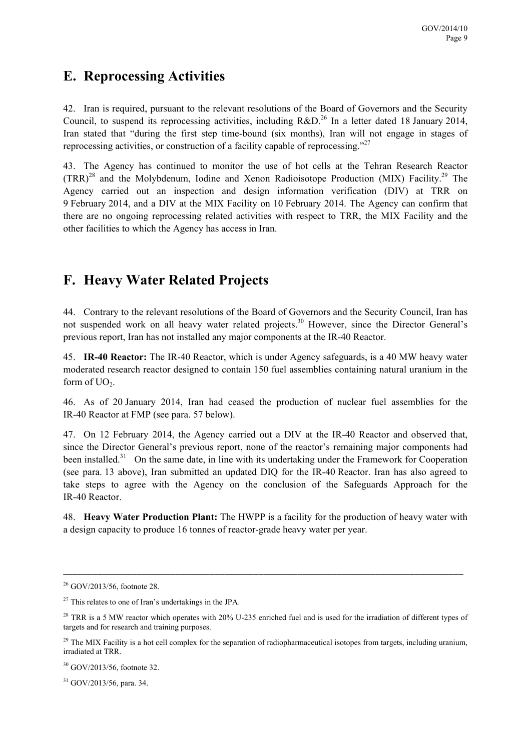### **E. Reprocessing Activities**

42. Iran is required, pursuant to the relevant resolutions of the Board of Governors and the Security Council, to suspend its reprocessing activities, including  $R&D<sup>26</sup>$  In a letter dated 18 January 2014, Iran stated that "during the first step time-bound (six months), Iran will not engage in stages of reprocessing activities, or construction of a facility capable of reprocessing."27

43. The Agency has continued to monitor the use of hot cells at the Tehran Research Reactor  $(TRR)^{28}$  and the Molybdenum, Iodine and Xenon Radioisotope Production (MIX) Facility.<sup>29</sup> The Agency carried out an inspection and design information verification (DIV) at TRR on 9 February 2014, and a DIV at the MIX Facility on 10 February 2014. The Agency can confirm that there are no ongoing reprocessing related activities with respect to TRR, the MIX Facility and the other facilities to which the Agency has access in Iran.

## **F. Heavy Water Related Projects**

44. Contrary to the relevant resolutions of the Board of Governors and the Security Council, Iran has not suspended work on all heavy water related projects.<sup>30</sup> However, since the Director General's previous report, Iran has not installed any major components at the IR-40 Reactor.

45. **IR-40 Reactor:** The IR-40 Reactor, which is under Agency safeguards, is a 40 MW heavy water moderated research reactor designed to contain 150 fuel assemblies containing natural uranium in the form of  $UO<sub>2</sub>$ .

46. As of 20 January 2014, Iran had ceased the production of nuclear fuel assemblies for the IR-40 Reactor at FMP (see para. 57 below).

47. On 12 February 2014, the Agency carried out a DIV at the IR-40 Reactor and observed that, since the Director General's previous report, none of the reactor's remaining major components had been installed.<sup>31</sup> On the same date, in line with its undertaking under the Framework for Cooperation (see para. 13 above), Iran submitted an updated DIQ for the IR-40 Reactor. Iran has also agreed to take steps to agree with the Agency on the conclusion of the Safeguards Approach for the IR-40 Reactor.

48. **Heavy Water Production Plant:** The HWPP is a facility for the production of heavy water with a design capacity to produce 16 tonnes of reactor-grade heavy water per year.

\_\_\_\_\_\_\_\_\_\_\_\_\_\_\_\_\_\_\_\_\_\_\_\_\_\_\_\_\_\_\_\_\_\_\_\_\_\_\_\_\_\_\_\_\_\_\_\_\_\_\_\_\_\_\_\_\_\_\_\_\_\_\_\_\_\_\_\_\_\_\_\_\_\_\_\_\_\_\_\_\_\_

31 GOV/2013/56, para. 34.

<sup>26</sup> GOV/2013/56, footnote 28.

 $27$  This relates to one of Iran's undertakings in the JPA.

<sup>&</sup>lt;sup>28</sup> TRR is a 5 MW reactor which operates with 20% U-235 enriched fuel and is used for the irradiation of different types of targets and for research and training purposes.

 $^{29}$  The MIX Facility is a hot cell complex for the separation of radiopharmaceutical isotopes from targets, including uranium, irradiated at TRR.

<sup>30</sup> GOV/2013/56, footnote 32.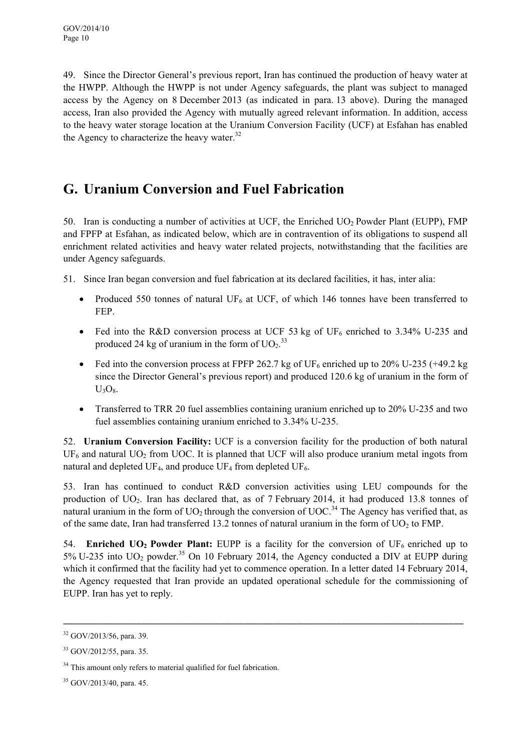49. Since the Director General's previous report, Iran has continued the production of heavy water at the HWPP. Although the HWPP is not under Agency safeguards, the plant was subject to managed access by the Agency on 8 December 2013 (as indicated in para. 13 above). During the managed access, Iran also provided the Agency with mutually agreed relevant information. In addition, access to the heavy water storage location at the Uranium Conversion Facility (UCF) at Esfahan has enabled the Agency to characterize the heavy water. $32$ 

## **G. Uranium Conversion and Fuel Fabrication**

50. Iran is conducting a number of activities at UCF, the Enriched  $UO<sub>2</sub>$  Powder Plant (EUPP), FMP and FPFP at Esfahan, as indicated below, which are in contravention of its obligations to suspend all enrichment related activities and heavy water related projects, notwithstanding that the facilities are under Agency safeguards.

51. Since Iran began conversion and fuel fabrication at its declared facilities, it has, inter alia:

- Produced 550 tonnes of natural UF<sub>6</sub> at UCF, of which 146 tonnes have been transferred to FEP.
- Fed into the R&D conversion process at UCF 53 kg of UF<sub>6</sub> enriched to 3.34% U-235 and produced 24 kg of uranium in the form of  $UO<sub>2</sub>$ .<sup>33</sup>
- Fed into the conversion process at FPFP 262.7 kg of UF<sub>6</sub> enriched up to 20% U-235 (+49.2 kg since the Director General's previous report) and produced 120.6 kg of uranium in the form of  $U_3O_8$ .
- Transferred to TRR 20 fuel assemblies containing uranium enriched up to 20% U-235 and two fuel assemblies containing uranium enriched to 3.34% U-235.

52. **Uranium Conversion Facility:** UCF is a conversion facility for the production of both natural  $UF<sub>6</sub>$  and natural UO<sub>2</sub> from UOC. It is planned that UCF will also produce uranium metal ingots from natural and depleted UF<sub>4</sub>, and produce UF<sub>4</sub> from depleted UF<sub>6</sub>.

53. Iran has continued to conduct R&D conversion activities using LEU compounds for the production of UO<sub>2</sub>. Iran has declared that, as of 7 February 2014, it had produced 13.8 tonnes of natural uranium in the form of  $UO<sub>2</sub>$  through the conversion of  $UOC<sub>34</sub>$ . The Agency has verified that, as of the same date, Iran had transferred 13.2 tonnes of natural uranium in the form of  $UO<sub>2</sub>$  to FMP.

54. **Enriched UO<sub>2</sub> Powder Plant:** EUPP is a facility for the conversion of UF<sub>6</sub> enriched up to 5% U-235 into  $UO_2$  powder.<sup>35</sup> On 10 February 2014, the Agency conducted a DIV at EUPP during which it confirmed that the facility had yet to commence operation. In a letter dated 14 February 2014, the Agency requested that Iran provide an updated operational schedule for the commissioning of EUPP. Iran has yet to reply.

<sup>32</sup> GOV/2013/56, para. 39.

<sup>33</sup> GOV/2012/55, para. 35.

<sup>&</sup>lt;sup>34</sup> This amount only refers to material qualified for fuel fabrication.

<sup>35</sup> GOV/2013/40, para. 45.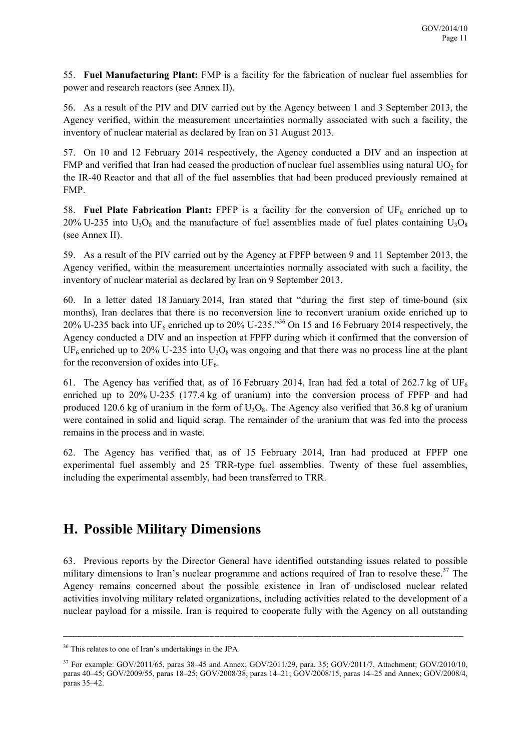55. **Fuel Manufacturing Plant:** FMP is a facility for the fabrication of nuclear fuel assemblies for power and research reactors (see Annex II).

56. As a result of the PIV and DIV carried out by the Agency between 1 and 3 September 2013, the Agency verified, within the measurement uncertainties normally associated with such a facility, the inventory of nuclear material as declared by Iran on 31 August 2013.

57. On 10 and 12 February 2014 respectively, the Agency conducted a DIV and an inspection at FMP and verified that Iran had ceased the production of nuclear fuel assemblies using natural  $UO<sub>2</sub>$  for the IR-40 Reactor and that all of the fuel assemblies that had been produced previously remained at FMP.

58. **Fuel Plate Fabrication Plant:** FPFP is a facility for the conversion of  $UF_6$  enriched up to 20% U-235 into  $U_3O_8$  and the manufacture of fuel assemblies made of fuel plates containing  $U_3O_8$ (see Annex II).

59. As a result of the PIV carried out by the Agency at FPFP between 9 and 11 September 2013, the Agency verified, within the measurement uncertainties normally associated with such a facility, the inventory of nuclear material as declared by Iran on 9 September 2013.

60. In a letter dated 18 January 2014, Iran stated that "during the first step of time-bound (six months), Iran declares that there is no reconversion line to reconvert uranium oxide enriched up to 20% U-235 back into UF<sub>6</sub> enriched up to 20% U-235.<sup>356</sup> On 15 and 16 February 2014 respectively, the Agency conducted a DIV and an inspection at FPFP during which it confirmed that the conversion of  $UF_6$  enriched up to 20% U-235 into U<sub>3</sub>O<sub>8</sub> was ongoing and that there was no process line at the plant for the reconversion of oxides into  $UF_6$ .

61. The Agency has verified that, as of 16 February 2014, Iran had fed a total of 262.7 kg of  $UF_6$ enriched up to 20% U-235 (177.4 kg of uranium) into the conversion process of FPFP and had produced 120.6 kg of uranium in the form of  $U_3O_8$ . The Agency also verified that 36.8 kg of uranium were contained in solid and liquid scrap. The remainder of the uranium that was fed into the process remains in the process and in waste.

62. The Agency has verified that, as of 15 February 2014, Iran had produced at FPFP one experimental fuel assembly and 25 TRR-type fuel assemblies. Twenty of these fuel assemblies, including the experimental assembly, had been transferred to TRR.

### **H. Possible Military Dimensions**

63. Previous reports by the Director General have identified outstanding issues related to possible military dimensions to Iran's nuclear programme and actions required of Iran to resolve these.<sup>37</sup> The Agency remains concerned about the possible existence in Iran of undisclosed nuclear related activities involving military related organizations, including activities related to the development of a nuclear payload for a missile. Iran is required to cooperate fully with the Agency on all outstanding

<sup>36</sup> This relates to one of Iran's undertakings in the JPA.

<sup>37</sup> For example: GOV/2011/65, paras 38–45 and Annex; GOV/2011/29, para. 35; GOV/2011/7, Attachment; GOV/2010/10, paras 40–45; GOV/2009/55, paras 18–25; GOV/2008/38, paras 14–21; GOV/2008/15, paras 14–25 and Annex; GOV/2008/4, paras 35–42.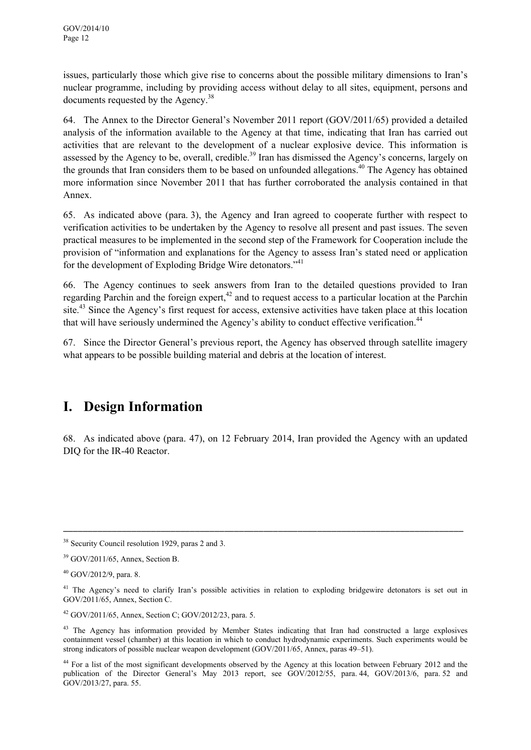issues, particularly those which give rise to concerns about the possible military dimensions to Iran's nuclear programme, including by providing access without delay to all sites, equipment, persons and documents requested by the Agency.<sup>38</sup>

64. The Annex to the Director General's November 2011 report (GOV/2011/65) provided a detailed analysis of the information available to the Agency at that time, indicating that Iran has carried out activities that are relevant to the development of a nuclear explosive device. This information is assessed by the Agency to be, overall, credible.<sup>39</sup> Iran has dismissed the Agency's concerns, largely on the grounds that Iran considers them to be based on unfounded allegations.<sup>40</sup> The Agency has obtained more information since November 2011 that has further corroborated the analysis contained in that Annex.

65. As indicated above (para. 3), the Agency and Iran agreed to cooperate further with respect to verification activities to be undertaken by the Agency to resolve all present and past issues. The seven practical measures to be implemented in the second step of the Framework for Cooperation include the provision of "information and explanations for the Agency to assess Iran's stated need or application for the development of Exploding Bridge Wire detonators."41

66. The Agency continues to seek answers from Iran to the detailed questions provided to Iran regarding Parchin and the foreign expert, $42$  and to request access to a particular location at the Parchin site.<sup>43</sup> Since the Agency's first request for access, extensive activities have taken place at this location that will have seriously undermined the Agency's ability to conduct effective verification.<sup>44</sup>

67. Since the Director General's previous report, the Agency has observed through satellite imagery what appears to be possible building material and debris at the location of interest.

## **I. Design Information**

68. As indicated above (para. 47), on 12 February 2014, Iran provided the Agency with an updated DIQ for the IR-40 Reactor.

<sup>&</sup>lt;sup>38</sup> Security Council resolution 1929, paras 2 and 3.

<sup>39</sup> GOV/2011/65, Annex, Section B.

 $40$  GOV/2012/9, para. 8.

<sup>&</sup>lt;sup>41</sup> The Agency's need to clarify Iran's possible activities in relation to exploding bridgewire detonators is set out in GOV/2011/65, Annex, Section C.

<sup>42</sup> GOV/2011/65, Annex, Section C; GOV/2012/23, para. 5.

<sup>&</sup>lt;sup>43</sup> The Agency has information provided by Member States indicating that Iran had constructed a large explosives containment vessel (chamber) at this location in which to conduct hydrodynamic experiments. Such experiments would be strong indicators of possible nuclear weapon development (GOV/2011/65, Annex, paras 49–51).

<sup>&</sup>lt;sup>44</sup> For a list of the most significant developments observed by the Agency at this location between February 2012 and the publication of the Director General's May 2013 report, see GOV/2012/55, para. 44, GOV/2013/6, para. 52 and GOV/2013/27, para. 55.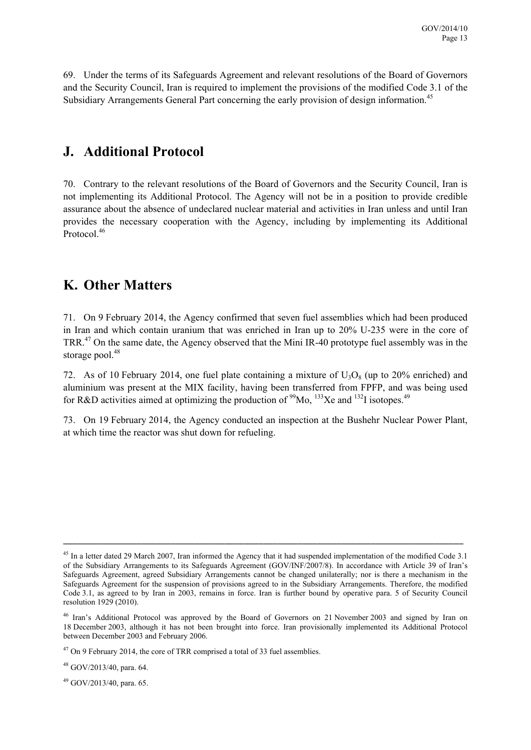69. Under the terms of its Safeguards Agreement and relevant resolutions of the Board of Governors and the Security Council, Iran is required to implement the provisions of the modified Code 3.1 of the Subsidiary Arrangements General Part concerning the early provision of design information.<sup>45</sup>

### **J. Additional Protocol**

70. Contrary to the relevant resolutions of the Board of Governors and the Security Council, Iran is not implementing its Additional Protocol. The Agency will not be in a position to provide credible assurance about the absence of undeclared nuclear material and activities in Iran unless and until Iran provides the necessary cooperation with the Agency, including by implementing its Additional Protocol.<sup>46</sup>

## **K. Other Matters**

71. On 9 February 2014, the Agency confirmed that seven fuel assemblies which had been produced in Iran and which contain uranium that was enriched in Iran up to 20% U-235 were in the core of TRR.47 On the same date, the Agency observed that the Mini IR-40 prototype fuel assembly was in the storage pool.<sup>48</sup>

72. As of 10 February 2014, one fuel plate containing a mixture of  $U_3O_8$  (up to 20% enriched) and aluminium was present at the MIX facility, having been transferred from FPFP, and was being used for R&D activities aimed at optimizing the production of  $\frac{99}{13}$ Xe and  $\frac{132}{13}$  isotopes.<sup>49</sup>

73. On 19 February 2014, the Agency conducted an inspection at the Bushehr Nuclear Power Plant, at which time the reactor was shut down for refueling.

\_\_\_\_\_\_\_\_\_\_\_\_\_\_\_\_\_\_\_\_\_\_\_\_\_\_\_\_\_\_\_\_\_\_\_\_\_\_\_\_\_\_\_\_\_\_\_\_\_\_\_\_\_\_\_\_\_\_\_\_\_\_\_\_\_\_\_\_\_\_\_\_\_\_\_\_\_\_\_\_\_\_

49 GOV/2013/40, para. 65.

<sup>&</sup>lt;sup>45</sup> In a letter dated 29 March 2007, Iran informed the Agency that it had suspended implementation of the modified Code 3.1 of the Subsidiary Arrangements to its Safeguards Agreement (GOV/INF/2007/8). In accordance with Article 39 of Iran's Safeguards Agreement, agreed Subsidiary Arrangements cannot be changed unilaterally; nor is there a mechanism in the Safeguards Agreement for the suspension of provisions agreed to in the Subsidiary Arrangements. Therefore, the modified Code 3.1, as agreed to by Iran in 2003, remains in force. Iran is further bound by operative para. 5 of Security Council resolution 1929 (2010).

<sup>46</sup> Iran's Additional Protocol was approved by the Board of Governors on 21 November 2003 and signed by Iran on 18 December 2003, although it has not been brought into force. Iran provisionally implemented its Additional Protocol between December 2003 and February 2006.

<sup>&</sup>lt;sup>47</sup> On 9 February 2014, the core of TRR comprised a total of 33 fuel assemblies.

 $48$  GOV/2013/40, para, 64.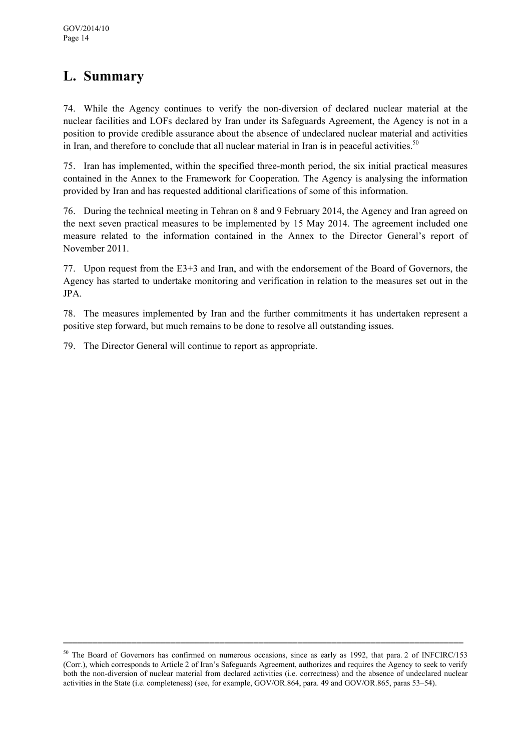## **L. Summary**

74. While the Agency continues to verify the non-diversion of declared nuclear material at the nuclear facilities and LOFs declared by Iran under its Safeguards Agreement, the Agency is not in a position to provide credible assurance about the absence of undeclared nuclear material and activities in Iran, and therefore to conclude that all nuclear material in Iran is in peaceful activities.<sup>50</sup>

75. Iran has implemented, within the specified three-month period, the six initial practical measures contained in the Annex to the Framework for Cooperation. The Agency is analysing the information provided by Iran and has requested additional clarifications of some of this information.

76. During the technical meeting in Tehran on 8 and 9 February 2014, the Agency and Iran agreed on the next seven practical measures to be implemented by 15 May 2014. The agreement included one measure related to the information contained in the Annex to the Director General's report of November 2011.

77. Upon request from the E3+3 and Iran, and with the endorsement of the Board of Governors, the Agency has started to undertake monitoring and verification in relation to the measures set out in the JPA.

78. The measures implemented by Iran and the further commitments it has undertaken represent a positive step forward, but much remains to be done to resolve all outstanding issues.

79. The Director General will continue to report as appropriate.

<sup>&</sup>lt;sup>50</sup> The Board of Governors has confirmed on numerous occasions, since as early as 1992, that para. 2 of INFCIRC/153 (Corr.), which corresponds to Article 2 of Iran's Safeguards Agreement, authorizes and requires the Agency to seek to verify both the non-diversion of nuclear material from declared activities (i.e. correctness) and the absence of undeclared nuclear activities in the State (i.e. completeness) (see, for example, GOV/OR.864, para. 49 and GOV/OR.865, paras 53–54).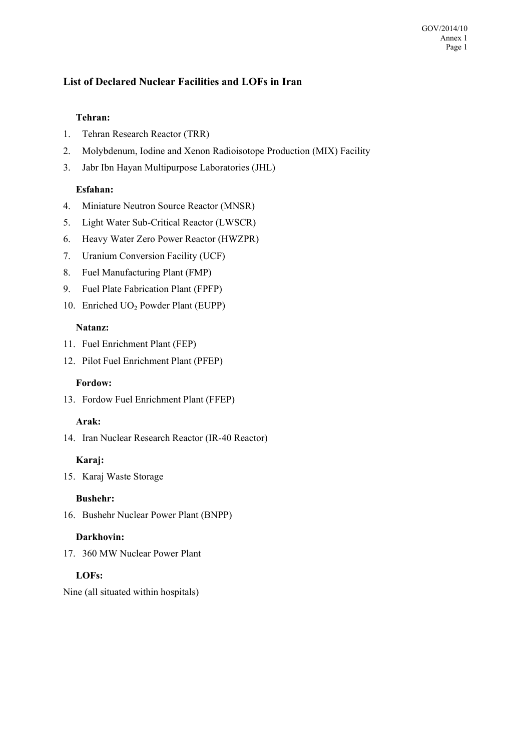#### GOV/2014/10 Annex 1 Page 1

#### **List of Declared Nuclear Facilities and LOFs in Iran**

#### **Tehran:**

- 1. Tehran Research Reactor (TRR)
- 2. Molybdenum, Iodine and Xenon Radioisotope Production (MIX) Facility
- 3. Jabr Ibn Hayan Multipurpose Laboratories (JHL)

#### **Esfahan:**

- 4. Miniature Neutron Source Reactor (MNSR)
- 5. Light Water Sub-Critical Reactor (LWSCR)
- 6. Heavy Water Zero Power Reactor (HWZPR)
- 7. Uranium Conversion Facility (UCF)
- 8. Fuel Manufacturing Plant (FMP)
- 9. Fuel Plate Fabrication Plant (FPFP)
- 10. Enriched UO2 Powder Plant (EUPP)

#### **Natanz:**

- 11. Fuel Enrichment Plant (FEP)
- 12. Pilot Fuel Enrichment Plant (PFEP)

#### **Fordow:**

13. Fordow Fuel Enrichment Plant (FFEP)

#### **Arak:**

14. Iran Nuclear Research Reactor (IR-40 Reactor)

#### **Karaj:**

15. Karaj Waste Storage

#### **Bushehr:**

16. Bushehr Nuclear Power Plant (BNPP)

#### **Darkhovin:**

17. 360 MW Nuclear Power Plant

#### **LOFs:**

Nine (all situated within hospitals)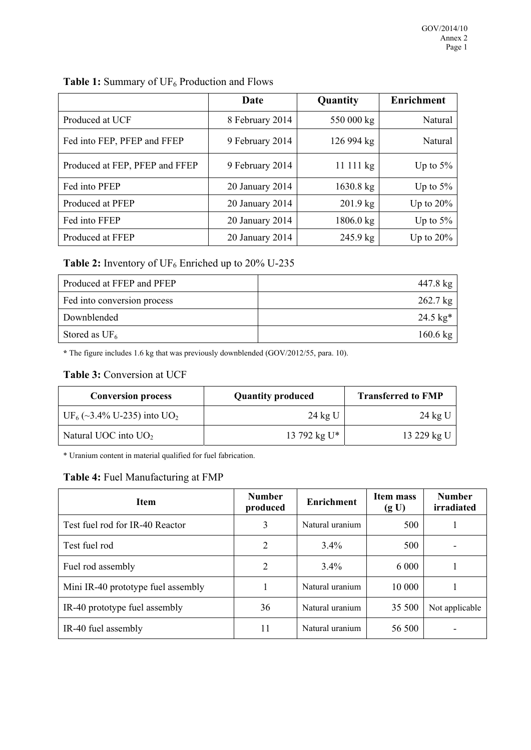|                                | Date            | Quantity            | <b>Enrichment</b> |  |
|--------------------------------|-----------------|---------------------|-------------------|--|
| Produced at UCF                | 8 February 2014 | 550 000 kg          | Natural           |  |
| Fed into FEP, PFEP and FFEP    | 9 February 2014 | 126 994 kg          | Natural           |  |
| Produced at FEP, PFEP and FFEP | 9 February 2014 | 11111 kg            | Up to $5\%$       |  |
| Fed into PFEP                  | 20 January 2014 | $1630.8 \text{ kg}$ | Up to $5\%$       |  |
| Produced at PFEP               | 20 January 2014 | $201.9$ kg          | Up to $20\%$      |  |
| Fed into FFEP                  | 20 January 2014 | $1806.0 \text{ kg}$ | Up to $5\%$       |  |
| Produced at FFEP               | 20 January 2014 | $245.9 \text{ kg}$  | Up to $20\%$      |  |

#### Table 2: Inventory of UF<sub>6</sub> Enriched up to 20% U-235

| Produced at FFEP and PFEP   | 447.8 kg   |
|-----------------------------|------------|
| Fed into conversion process | $262.7$ kg |
| Downblended                 | 24.5 $kg*$ |
| Stored as $UF_6$            | 160.6 kg   |

**\*** The figure includes 1.6 kg that was previously downblended (GOV/2012/55, para. 10).

#### **Table 3:** Conversion at UCF

| <b>Conversion process</b>                          | <b>Quantity produced</b> | <b>Transferred to FMP</b> |  |
|----------------------------------------------------|--------------------------|---------------------------|--|
| UF <sub>6</sub> (~3.4% U-235) into UO <sub>2</sub> | $24$ kg U                | 24 kg U                   |  |
| Natural UOC into $UO2$                             | 13 792 kg $U^*$          | 13 229 kg U               |  |

\* Uranium content in material qualified for fuel fabrication.

#### **Table 4:** Fuel Manufacturing at FMP

| <b>Item</b>                        | <b>Number</b><br>produced | <b>Enrichment</b> | Item mass<br>(g U) | <b>Number</b><br>irradiated |
|------------------------------------|---------------------------|-------------------|--------------------|-----------------------------|
| Test fuel rod for IR-40 Reactor    | 3                         | Natural uranium   | 500                |                             |
| Test fuel rod                      | 2                         | $3.4\%$           | 500                |                             |
| Fuel rod assembly                  | 2                         | $3.4\%$           | 6 0 0 0            |                             |
| Mini IR-40 prototype fuel assembly |                           | Natural uranium   | 10 000             |                             |
| IR-40 prototype fuel assembly      | 36                        | Natural uranium   | 35 500             | Not applicable              |
| IR-40 fuel assembly                | 11                        | Natural uranium   | 56 500             |                             |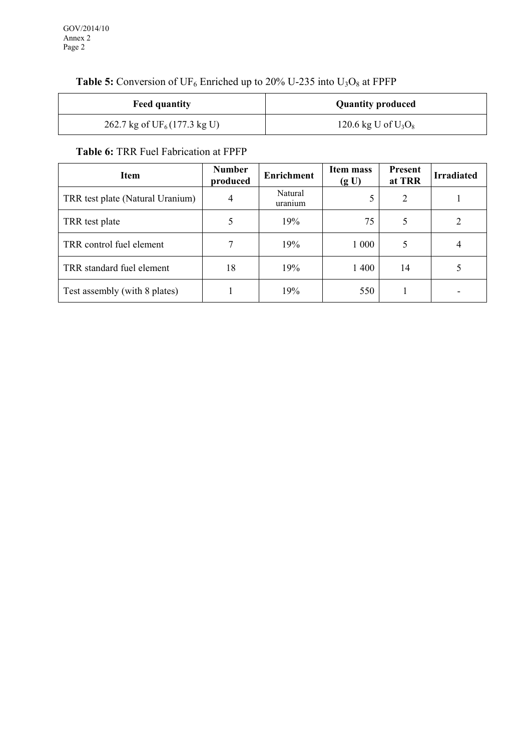#### **Table 5:** Conversion of UF<sub>6</sub> Enriched up to 20% U-235 into  $U_3O_8$  at FPFP

| <b>Feed quantity</b>                   | <b>Quantity produced</b> |  |
|----------------------------------------|--------------------------|--|
| 262.7 kg of $UF_6(177.3 \text{ kg U})$ | 120.6 kg U of $U_3O_8$   |  |

#### **Table 6:** TRR Fuel Fabrication at FPFP

| <b>Item</b>                      | <b>Number</b><br>produced | <b>Enrichment</b>  | Item mass<br>(g U) | <b>Present</b><br>at TRR | <b>Irradiated</b> |
|----------------------------------|---------------------------|--------------------|--------------------|--------------------------|-------------------|
| TRR test plate (Natural Uranium) | 4                         | Natural<br>uranium |                    | $\overline{2}$           |                   |
| TRR test plate                   |                           | 19%                | 75                 | 5                        |                   |
| TRR control fuel element         |                           | 19%                | 1 0 0 0            | 5                        | 4                 |
| TRR standard fuel element        | 18                        | 19%                | 1400               | 14                       |                   |
| Test assembly (with 8 plates)    |                           | 19%                | 550                |                          |                   |